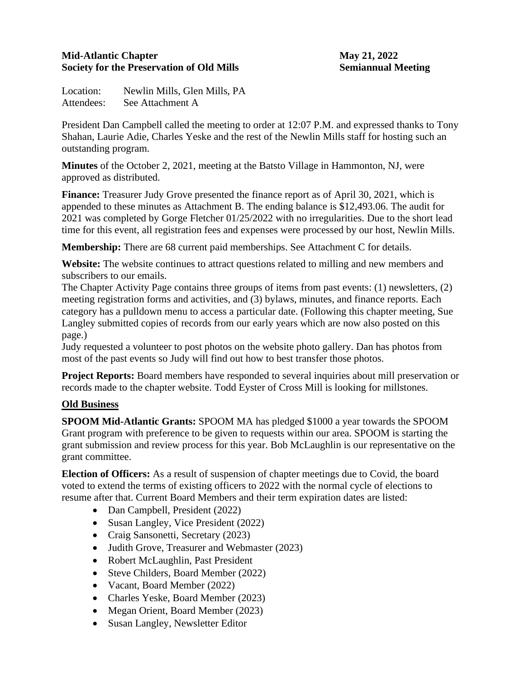### **Mid-Atlantic Chapter May 21, 2022 Society for the Preservation of Old Mills Semiannual Meeting**

Location: Newlin Mills, Glen Mills, PA Attendees: See Attachment A

President Dan Campbell called the meeting to order at 12:07 P.M. and expressed thanks to Tony Shahan, Laurie Adie, Charles Yeske and the rest of the Newlin Mills staff for hosting such an outstanding program.

**Minutes** of the October 2, 2021, meeting at the Batsto Village in Hammonton, NJ, were approved as distributed.

**Finance:** Treasurer Judy Grove presented the finance report as of April 30, 2021, which is appended to these minutes as Attachment B. The ending balance is \$12,493.06. The audit for 2021 was completed by Gorge Fletcher 01/25/2022 with no irregularities. Due to the short lead time for this event, all registration fees and expenses were processed by our host, Newlin Mills.

**Membership:** There are 68 current paid memberships. See Attachment C for details.

**Website:** The website continues to attract questions related to milling and new members and subscribers to our emails.

The Chapter Activity Page contains three groups of items from past events: (1) newsletters, (2) meeting registration forms and activities, and (3) bylaws, minutes, and finance reports. Each category has a pulldown menu to access a particular date. (Following this chapter meeting, Sue Langley submitted copies of records from our early years which are now also posted on this page.)

Judy requested a volunteer to post photos on the website photo gallery. Dan has photos from most of the past events so Judy will find out how to best transfer those photos.

**Project Reports:** Board members have responded to several inquiries about mill preservation or records made to the chapter website. Todd Eyster of Cross Mill is looking for millstones.

## **Old Business**

**SPOOM Mid-Atlantic Grants:** SPOOM MA has pledged \$1000 a year towards the SPOOM Grant program with preference to be given to requests within our area. SPOOM is starting the grant submission and review process for this year. Bob McLaughlin is our representative on the grant committee.

**Election of Officers:** As a result of suspension of chapter meetings due to Covid, the board voted to extend the terms of existing officers to 2022 with the normal cycle of elections to resume after that. Current Board Members and their term expiration dates are listed:

- Dan Campbell, President (2022)
- Susan Langley, Vice President (2022)
- Craig Sansonetti, Secretary (2023)
- Judith Grove, Treasurer and Webmaster (2023)
- Robert McLaughlin, Past President
- Steve Childers, Board Member (2022)
- Vacant, Board Member (2022)
- Charles Yeske, Board Member (2023)
- Megan Orient, Board Member (2023)
- Susan Langley, Newsletter Editor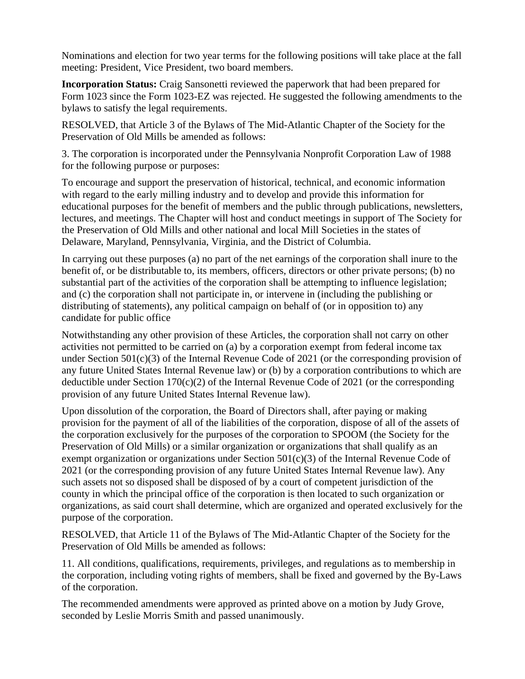Nominations and election for two year terms for the following positions will take place at the fall meeting: President, Vice President, two board members.

**Incorporation Status:** Craig Sansonetti reviewed the paperwork that had been prepared for Form 1023 since the Form 1023-EZ was rejected. He suggested the following amendments to the bylaws to satisfy the legal requirements.

RESOLVED, that Article 3 of the Bylaws of The Mid-Atlantic Chapter of the Society for the Preservation of Old Mills be amended as follows:

3. The corporation is incorporated under the Pennsylvania Nonprofit Corporation Law of 1988 for the following purpose or purposes:

To encourage and support the preservation of historical, technical, and economic information with regard to the early milling industry and to develop and provide this information for educational purposes for the benefit of members and the public through publications, newsletters, lectures, and meetings. The Chapter will host and conduct meetings in support of The Society for the Preservation of Old Mills and other national and local Mill Societies in the states of Delaware, Maryland, Pennsylvania, Virginia, and the District of Columbia.

In carrying out these purposes (a) no part of the net earnings of the corporation shall inure to the benefit of, or be distributable to, its members, officers, directors or other private persons; (b) no substantial part of the activities of the corporation shall be attempting to influence legislation; and (c) the corporation shall not participate in, or intervene in (including the publishing or distributing of statements), any political campaign on behalf of (or in opposition to) any candidate for public office

Notwithstanding any other provision of these Articles, the corporation shall not carry on other activities not permitted to be carried on (a) by a corporation exempt from federal income tax under Section 501(c)(3) of the Internal Revenue Code of 2021 (or the corresponding provision of any future United States Internal Revenue law) or (b) by a corporation contributions to which are deductible under Section 170(c)(2) of the Internal Revenue Code of 2021 (or the corresponding provision of any future United States Internal Revenue law).

Upon dissolution of the corporation, the Board of Directors shall, after paying or making provision for the payment of all of the liabilities of the corporation, dispose of all of the assets of the corporation exclusively for the purposes of the corporation to SPOOM (the Society for the Preservation of Old Mills) or a similar organization or organizations that shall qualify as an exempt organization or organizations under Section 501(c)(3) of the Internal Revenue Code of 2021 (or the corresponding provision of any future United States Internal Revenue law). Any such assets not so disposed shall be disposed of by a court of competent jurisdiction of the county in which the principal office of the corporation is then located to such organization or organizations, as said court shall determine, which are organized and operated exclusively for the purpose of the corporation.

RESOLVED, that Article 11 of the Bylaws of The Mid-Atlantic Chapter of the Society for the Preservation of Old Mills be amended as follows:

11. All conditions, qualifications, requirements, privileges, and regulations as to membership in the corporation, including voting rights of members, shall be fixed and governed by the By-Laws of the corporation.

The recommended amendments were approved as printed above on a motion by Judy Grove, seconded by Leslie Morris Smith and passed unanimously.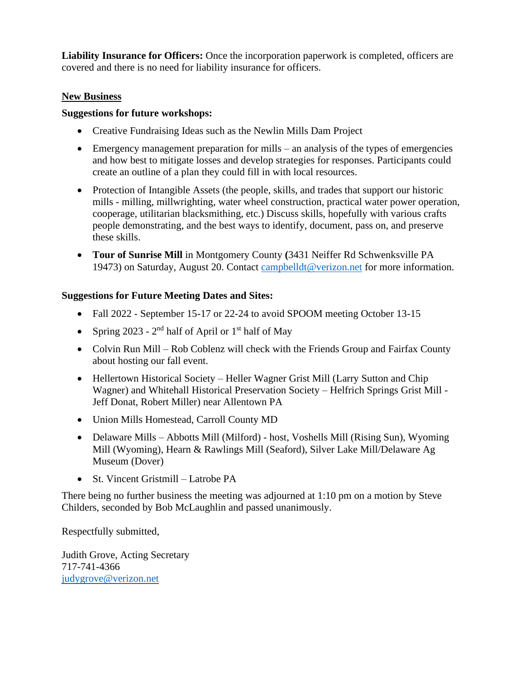**Liability Insurance for Officers:** Once the incorporation paperwork is completed, officers are covered and there is no need for liability insurance for officers.

### **New Business**

#### **Suggestions for future workshops:**

- Creative Fundraising Ideas such as the Newlin Mills Dam Project
- Emergency management preparation for mills an analysis of the types of emergencies and how best to mitigate losses and develop strategies for responses. Participants could create an outline of a plan they could fill in with local resources.
- Protection of Intangible Assets (the people, skills, and trades that support our historic mills - milling, millwrighting, water wheel construction, practical water power operation, cooperage, utilitarian blacksmithing, etc.) Discuss skills, hopefully with various crafts people demonstrating, and the best ways to identify, document, pass on, and preserve these skills.
- **Tour of Sunrise Mill** in Montgomery County **(**3431 Neiffer Rd Schwenksville PA 19473) on Saturday, August 20. Contact [campbelldt@verizon.net](mailto:campbelldt@verizon.net) for more information.

#### **Suggestions for Future Meeting Dates and Sites:**

- Fall 2022 September 15-17 or 22-24 to avoid SPOOM meeting October 13-15
- Spring 2023  $2<sup>nd</sup>$  half of April or  $1<sup>st</sup>$  half of May
- Colvin Run Mill Rob Coblenz will check with the Friends Group and Fairfax County about hosting our fall event.
- Hellertown Historical Society Heller Wagner Grist Mill (Larry Sutton and Chip Wagner) and Whitehall Historical Preservation Society – Helfrich Springs Grist Mill - Jeff Donat, Robert Miller) near Allentown PA
- Union Mills Homestead, Carroll County MD
- Delaware Mills Abbotts Mill (Milford) host, Voshells Mill (Rising Sun), Wyoming Mill (Wyoming), Hearn & Rawlings Mill (Seaford), Silver Lake Mill/Delaware Ag Museum (Dover)
- St. Vincent Gristmill Latrobe PA

There being no further business the meeting was adjourned at 1:10 pm on a motion by Steve Childers, seconded by Bob McLaughlin and passed unanimously.

Respectfully submitted,

Judith Grove, Acting Secretary 717-741-4366 [judygrove@verizon.net](mailto:judygrove@verizon.net)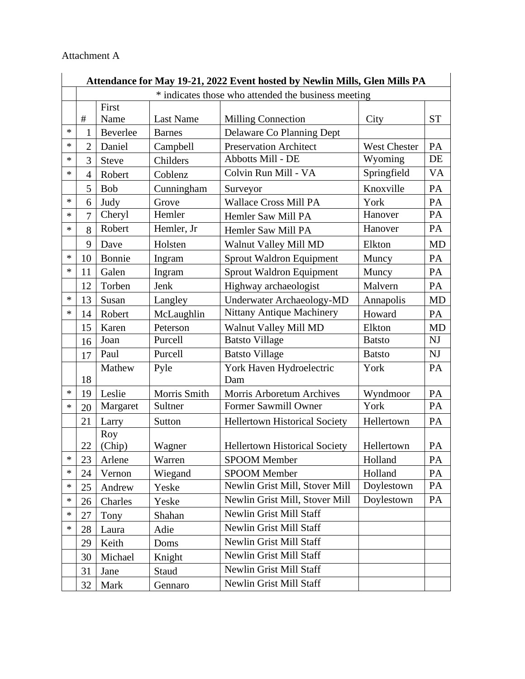#### Attachment A

|   | Attendance for May 19-21, 2022 Event hosted by Newlin Mills, Glen Mills PA |                                                     |               |                                      |                     |                        |  |  |  |  |
|---|----------------------------------------------------------------------------|-----------------------------------------------------|---------------|--------------------------------------|---------------------|------------------------|--|--|--|--|
|   |                                                                            | * indicates those who attended the business meeting |               |                                      |                     |                        |  |  |  |  |
|   |                                                                            | First                                               |               |                                      |                     |                        |  |  |  |  |
|   | $\#$                                                                       | Name                                                | Last Name     | <b>Milling Connection</b>            | City                | <b>ST</b>              |  |  |  |  |
| * | 1                                                                          | Beverlee                                            | <b>Barnes</b> | Delaware Co Planning Dept            |                     |                        |  |  |  |  |
| * | $\overline{2}$                                                             | Daniel                                              | Campbell      | <b>Preservation Architect</b>        | <b>West Chester</b> | PA                     |  |  |  |  |
| * | 3                                                                          | <b>Steve</b>                                        | Childers      | Abbotts Mill - DE                    | Wyoming             | DE                     |  |  |  |  |
| * | $\overline{4}$                                                             | Robert                                              | Coblenz       | Colvin Run Mill - VA                 | Springfield         | <b>VA</b>              |  |  |  |  |
|   | 5                                                                          | <b>Bob</b>                                          | Cunningham    | Surveyor                             | Knoxville           | PA                     |  |  |  |  |
| * | 6                                                                          | Judy                                                | Grove         | <b>Wallace Cross Mill PA</b>         | York                | PA                     |  |  |  |  |
| * | 7                                                                          | Cheryl                                              | Hemler        | Hemler Saw Mill PA                   | Hanover             | PA                     |  |  |  |  |
| * | 8                                                                          | Robert                                              | Hemler, Jr    | Hemler Saw Mill PA                   | Hanover             | PA                     |  |  |  |  |
|   | 9                                                                          | Dave                                                | Holsten       | Walnut Valley Mill MD                | Elkton              | <b>MD</b>              |  |  |  |  |
| * | 10                                                                         | Bonnie                                              | Ingram        | Sprout Waldron Equipment             | Muncy               | PA                     |  |  |  |  |
| * | 11                                                                         | Galen                                               | Ingram        | <b>Sprout Waldron Equipment</b>      | Muncy               | PA                     |  |  |  |  |
|   | 12                                                                         | Torben                                              | Jenk          | Highway archaeologist                | Malvern             | PA                     |  |  |  |  |
| * | 13                                                                         | Susan                                               | Langley       | Underwater Archaeology-MD            | Annapolis           | <b>MD</b>              |  |  |  |  |
| * | 14                                                                         | Robert                                              | McLaughlin    | Nittany Antique Machinery            | Howard              | PA                     |  |  |  |  |
|   | 15                                                                         | Karen                                               | Peterson      | Walnut Valley Mill MD                | Elkton              | <b>MD</b>              |  |  |  |  |
|   | 16                                                                         | Joan                                                | Purcell       | <b>Batsto Village</b>                | <b>Batsto</b>       | NJ                     |  |  |  |  |
|   | 17                                                                         | Paul                                                | Purcell       | <b>Batsto Village</b>                | <b>Batsto</b>       | $\mathbf{N}\mathbf{J}$ |  |  |  |  |
|   |                                                                            | Mathew                                              | Pyle          | York Haven Hydroelectric             | York                | PA                     |  |  |  |  |
|   | 18                                                                         |                                                     |               | Dam                                  |                     |                        |  |  |  |  |
| * | 19                                                                         | Leslie                                              | Morris Smith  | Morris Arboretum Archives            | Wyndmoor            | PA                     |  |  |  |  |
| * | 20                                                                         | Margaret                                            | Sultner       | Former Sawmill Owner                 | York                | PA                     |  |  |  |  |
|   | 21                                                                         | Larry                                               | Sutton        | <b>Hellertown Historical Society</b> | Hellertown          | PA                     |  |  |  |  |
|   |                                                                            | Roy                                                 |               |                                      |                     |                        |  |  |  |  |
|   | 22                                                                         | (Chip)                                              | Wagner        | <b>Hellertown Historical Society</b> | Hellertown          | PA                     |  |  |  |  |
| ж | 23                                                                         | Arlene                                              | Warren        | <b>SPOOM Member</b>                  | Holland             | PA                     |  |  |  |  |
| * | 24                                                                         | Vernon                                              | Wiegand       | <b>SPOOM Member</b>                  | Holland             | PA                     |  |  |  |  |
| * | 25                                                                         | Andrew                                              | Yeske         | Newlin Grist Mill, Stover Mill       | Doylestown          | PA                     |  |  |  |  |
| * | 26                                                                         | Charles                                             | Yeske         | Newlin Grist Mill, Stover Mill       | Doylestown          | PA                     |  |  |  |  |
| * | 27                                                                         | Tony                                                | Shahan        | Newlin Grist Mill Staff              |                     |                        |  |  |  |  |
| * | 28                                                                         | Laura                                               | Adie          | Newlin Grist Mill Staff              |                     |                        |  |  |  |  |
|   | 29                                                                         | Keith                                               | Doms          | Newlin Grist Mill Staff              |                     |                        |  |  |  |  |
|   | 30                                                                         | Michael                                             | Knight        | Newlin Grist Mill Staff              |                     |                        |  |  |  |  |
|   | 31                                                                         | Jane                                                | Staud         | Newlin Grist Mill Staff              |                     |                        |  |  |  |  |
|   | 32                                                                         | Mark                                                | Gennaro       | Newlin Grist Mill Staff              |                     |                        |  |  |  |  |